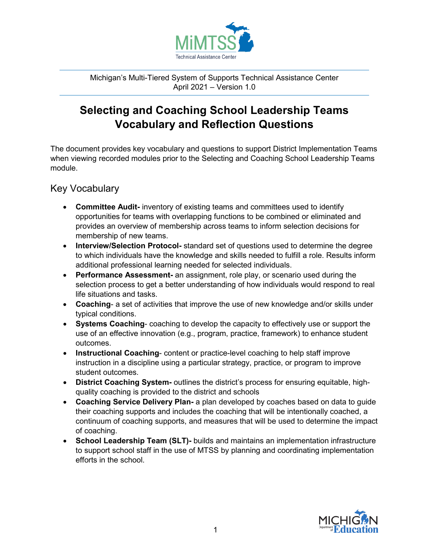

Michigan's Multi-Tiered System of Supports Technical Assistance Center April 2021 – Version 1.0

## **Selecting and Coaching School Leadership Teams Vocabulary and Reflection Questions**

The document provides key vocabulary and questions to support District Implementation Teams when viewing recorded modules prior to the Selecting and Coaching School Leadership Teams module.

Key Vocabulary

- **Committee Audit-** inventory of existing teams and committees used to identify opportunities for teams with overlapping functions to be combined or eliminated and provides an overview of membership across teams to inform selection decisions for membership of new teams.
- **Interview/Selection Protocol-** standard set of questions used to determine the degree to which individuals have the knowledge and skills needed to fulfill a role. Results inform additional professional learning needed for selected individuals.
- **Performance Assessment-** an assignment, role play, or scenario used during the selection process to get a better understanding of how individuals would respond to real life situations and tasks.
- **Coaching** a set of activities that improve the use of new knowledge and/or skills under typical conditions.
- **Systems Coaching** coaching to develop the capacity to effectively use or support the use of an effective innovation (e.g., program, practice, framework) to enhance student outcomes.
- **Instructional Coaching** content or practice-level coaching to help staff improve instruction in a discipline using a particular strategy, practice, or program to improve student outcomes.
- **District Coaching System-** outlines the district's process for ensuring equitable, highquality coaching is provided to the district and schools
- **Coaching Service Delivery Plan-** a plan developed by coaches based on data to guide their coaching supports and includes the coaching that will be intentionally coached, a continuum of coaching supports, and measures that will be used to determine the impact of coaching.
- **School Leadership Team (SLT)-** builds and maintains an implementation infrastructure to support school staff in the use of MTSS by planning and coordinating implementation efforts in the school.